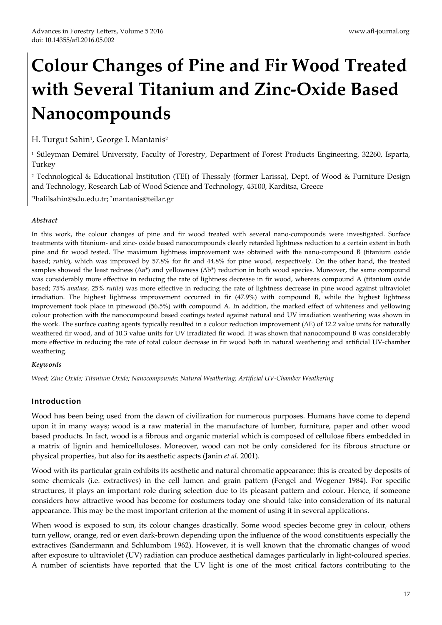# **Colour Changes of Pine and Fir Wood Treated with Several Titanium and Zinc‐Oxide Based Nanocompounds**

H. Turgut Sahin<sup>1</sup>, George I. Mantanis<sup>2</sup>

<sup>1</sup> Süleyman Demirel University, Faculty of Forestry, Department of Forest Products Engineering, 32260, Isparta, Turkey

<sup>2</sup> Technological & Educational Institution (TEI) of Thessaly (former Larissa), Dept. of Wood & Furniture Design and Technology, Research Lab of Wood Science and Technology, 43100, Karditsa, Greece

\*1halilsahin@sdu.edu.tr; 2mantanis@teilar.gr

## *Abstract*

In this work, the colour changes of pine and fir wood treated with several nano-compounds were investigated. Surface treatments with titanium‐ and zinc‐ oxide based nanocompounds clearly retarded lightness reduction to a certain extent in both pine and fir wood tested. The maximum lightness improvement was obtained with the nano‐compound B (titanium oxide based; *rutile*), which was improved by 57.8% for fir and 44.8% for pine wood, respectively. On the other hand, the treated samples showed the least redness  $(\Delta a^*)$  and yellowness  $(\Delta b^*)$  reduction in both wood species. Moreover, the same compound was considerably more effective in reducing the rate of lightness decrease in fir wood, whereas compound A (titanium oxide based; 75% *anatase*, 25% *rutile*) was more effective in reducing the rate of lightness decrease in pine wood against ultraviolet irradiation. The highest lightness improvement occurred in fir (47.9%) with compound B, while the highest lightness improvement took place in pinewood (56.5%) with compound A. In addition, the marked effect of whiteness and yellowing colour protection with the nanocompound based coatings tested against natural and UV irradiation weathering was shown in the work. The surface coating agents typically resulted in a colour reduction improvement (ΔE) of 12.2 value units for naturally weathered fir wood, and of 10.3 value units for UV irradiated fir wood. It was shown that nanocompound B was considerably more effective in reducing the rate of total colour decrease in fir wood both in natural weathering and artificial UV‐chamber weathering.

## *Keywords*

*Wood; Zinc Oxide; Titanium Oxide; Nanocompounds; Natural Weathering; Artificial UV‐Chamber Weathering*

## Introduction

Wood has been being used from the dawn of civilization for numerous purposes. Humans have come to depend upon it in many ways; wood is a raw material in the manufacture of lumber, furniture, paper and other wood based products. In fact, wood is a fibrous and organic material which is composed of cellulose fibers embedded in a matrix of lignin and hemicelluloses. Moreover, wood can not be only considered for its fibrous structure or physical properties, but also for its aesthetic aspects (Janin *et al.* 2001).

Wood with its particular grain exhibits its aesthetic and natural chromatic appearance; this is created by deposits of some chemicals (i.e. extractives) in the cell lumen and grain pattern (Fengel and Wegener 1984). For specific structures, it plays an important role during selection due to its pleasant pattern and colour. Hence, if someone considers how attractive wood has become for costumers today one should take into consideration of its natural appearance. This may be the most important criterion at the moment of using it in several applications.

When wood is exposed to sun, its colour changes drastically. Some wood species become grey in colour, others turn yellow, orange, red or even dark‐brown depending upon the influence of the wood constituents especially the extractives (Sandermann and Schlumbom 1962). However, it is well known that the chromatic changes of wood after exposure to ultraviolet (UV) radiation can produce aesthetical damages particularly in light-coloured species. A number of scientists have reported that the UV light is one of the most critical factors contributing to the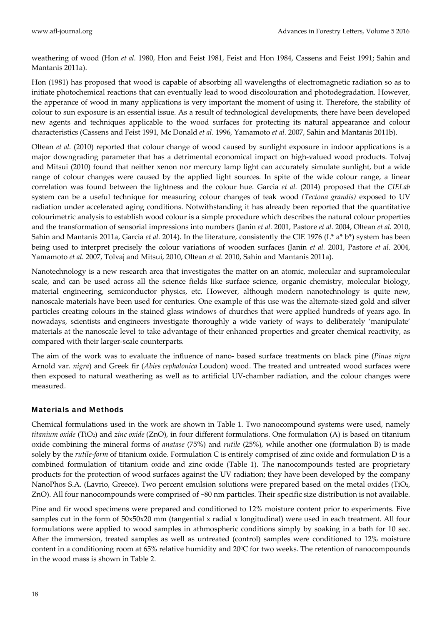weathering of wood (Hon *et al.* 1980, Hon and Feist 1981, Feist and Hon 1984, Cassens and Feist 1991; Sahin and Mantanis 2011a).

Hon (1981) has proposed that wood is capable of absorbing all wavelengths of electromagnetic radiation so as to initiate photochemical reactions that can eventually lead to wood discolouration and photodegradation. However, the apperance of wood in many applications is very important the moment of using it. Therefore, the stability of colour to sun exposure is an essential issue. As a result of technological developments, there have been developed new agents and techniques applicable to the wood surfaces for protecting its natural appearance and colour characteristics (Cassens and Feist 1991, Mc Donald *et al.* 1996, Yamamoto *et al.* 2007, Sahin and Mantanis 2011b).

Oltean *et al.* (2010) reported that colour change of wood caused by sunlight exposure in indoor applications is a major downgrading parameter that has a detrimental economical impact on high-valued wood products. Tolvaj and Mitsui (2010) found that neither xenon nor mercury lamp light can accurately simulate sunlight, but a wide range of colour changes were caused by the applied light sources. In spite of the wide colour range, a linear correlation was found between the lightness and the colour hue. Garcia *et al.* (2014) proposed that the *CIELab* system can be a useful technique for measuring colour changes of teak wood *(Tectona grandis)* exposed to UV radiation under accelerated aging conditions. Notwithstanding it has already been reported that the quantitative colourimetric analysis to establish wood colour is a simple procedure which describes the natural colour properties and the transformation of sensorial impressions into numbers (Janin *et al.* 2001, Pastore *et al.* 2004, Oltean *et al.* 2010, Sahin and Mantanis 2011a, Garcia *et al.* 2014). In the literature, consistently the CIE 1976 (L\* a\* b\*) system has been being used to interpret precisely the colour variations of wooden surfaces (Janin *et al.* 2001, Pastore *et al.* 2004, Yamamoto *et al.* 2007, Tolvaj and Mitsui, 2010, Oltean *et al.* 2010, Sahin and Mantanis 2011a).

Nanotechnology is a new research area that investigates the matter on an atomic, molecular and supramolecular scale, and can be used across all the science fields like surface science, organic chemistry, molecular biology, material engineering, semiconductor physics, etc. However, although modern nanotechnology is quite new, nanoscale materials have been used for centuries. One example of this use was the alternate‐sized gold and silver particles creating colours in the stained glass windows of churches that were applied hundreds of years ago. In nowadays, scientists and engineers investigate thoroughly a wide variety of ways to deliberately 'manipulate' materials at the nanoscale level to take advantage of their enhanced properties and greater chemical reactivity, as compared with their larger‐scale counterparts.

The aim of the work was to evaluate the influence of nano‐ based surface treatments on black pine (*Pinus nigra* Arnold var. *nigra*) and Greek fir (*Abies cephalonica* Loudon) wood. The treated and untreated wood surfaces were then exposed to natural weathering as well as to artificial UV‐chamber radiation, and the colour changes were measured.

## Materials and Methods

Chemical formulations used in the work are shown in Table 1. Two nanocompound systems were used, namely *titanium oxide* (TiO<sub>2</sub>) and *zinc oxide* (ZnO), in four different formulations. One formulation (A) is based on titanium oxide combining the mineral forms of *anatase* (75%) and *rutile* (25%), while another one (formulation B) is made solely by the *rutile‐form* of titanium oxide. Formulation C is entirely comprised of zinc oxide and formulation D is a combined formulation of titanium oxide and zinc oxide (Table 1). The nanocompounds tested are proprietary products for the protection of wood surfaces against the UV radiation; they have been developed by the company NanoPhos S.A. (Lavrio, Greece). Two percent emulsion solutions were prepared based on the metal oxides (TiO<sub>2</sub>, ZnO). All four nanocompounds were comprised of ~80 nm particles. Their specific size distribution is not available.

Pine and fir wood specimens were prepared and conditioned to 12% moisture content prior to experiments. Five samples cut in the form of 50x50x20 mm (tangential x radial x longitudinal) were used in each treatment. All four formulations were applied to wood samples in athmospheric conditions simply by soaking in a bath for 10 sec. After the immersion, treated samples as well as untreated (control) samples were conditioned to 12% moisture content in a conditioning room at 65% relative humidity and 200C for two weeks. The retention of nanocompounds in the wood mass is shown in Table 2.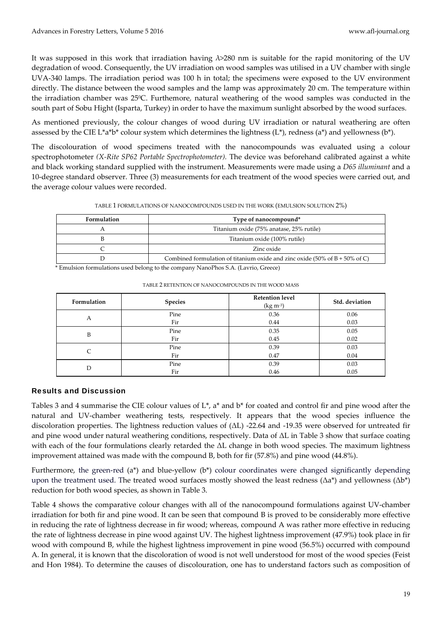It was supposed in this work that irradiation having λ>280 nm is suitable for the rapid monitoring of the UV degradation of wood. Consequently, the UV irradiation on wood samples was utilised in a UV chamber with single UVA‐340 lamps. The irradiation period was 100 h in total; the specimens were exposed to the UV environment directly. The distance between the wood samples and the lamp was approximately 20 cm. The temperature within the irradiation chamber was 25°C. Furthemore, natural weathering of the wood samples was conducted in the south part of Sobu Hight (Isparta, Turkey) in order to have the maximum sunlight absorbed by the wood surfaces.

As mentioned previously, the colour changes of wood during UV irradiation or natural weathering are often assessed by the CIE L\*a\*b\* colour system which determines the lightness (L\*), redness (a\*) and yellowness (b\*).

The discolouration of wood specimens treated with the nanocompounds was evaluated using a colour spectrophotometer *(X‐Rite SP62 Portable Spectrophotometer).* The device was beforehand calibrated against a white and black working standard supplied with the instrument. Measurements were made using a *D65 illuminant* and a 10‐degree standard observer. Three (3) measurements for each treatment of the wood species were carried out, and the average colour values were recorded.

TABLE 1 FORMULATIONS OF NANOCOMPOUNDS USED IN THE WORK (EMULSION SOLUTION 2%)

| <b>Formulation</b> | Type of nanocompound*                                                                             |  |  |  |  |
|--------------------|---------------------------------------------------------------------------------------------------|--|--|--|--|
| Α                  | Titanium oxide (75% anatase, 25% rutile)                                                          |  |  |  |  |
|                    | Titanium oxide (100% rutile)                                                                      |  |  |  |  |
|                    | Zinc oxide                                                                                        |  |  |  |  |
|                    | Combined formulation of titanium oxide and zinc oxide $(50\% \text{ of } B + 50\% \text{ of } C)$ |  |  |  |  |

\* Emulsion formulations used belong to the company NanoPhos S.A. (Lavrio, Greece)

| Formulation | <b>Species</b> | <b>Retention level</b><br>$(kg m-3)$ | Std. deviation |
|-------------|----------------|--------------------------------------|----------------|
| А           | Pine           | 0.36                                 | 0.06           |
|             | Fir            | 0.44                                 | 0.03           |
| B           | Pine           | 0.35                                 | 0.05           |
|             | Fir            | 0.45                                 | 0.02           |
| C           | Pine           | 0.39                                 | 0.03           |
|             | Fir            | 0.47                                 | 0.04           |
| D           | Pine           | 0.39                                 | 0.03           |
|             | Fir            | 0.46                                 | 0.05           |

TABLE 2 RETENTION OF NANOCOMPOUNDS IN THE WOOD MASS

## Results and Discussion

Tables 3 and 4 summarise the CIE colour values of L\*, a\* and b\* for coated and control fir and pine wood after the natural and UV‐chamber weathering tests, respectively. It appears that the wood species influence the discoloration properties. The lightness reduction values of (ΔL) ‐22.64 and ‐19.35 were observed for untreated fir and pine wood under natural weathering conditions, respectively. Data of ΔL in Table 3 show that surface coating with each of the four formulations clearly retarded the ΔL change in both wood species. The maximum lightness improvement attained was made with the compound B, both for fir (57.8%) and pine wood (44.8%).

Furthermore, the green-red (a\*) and blue-yellow (b\*) colour coordinates were changed significantly depending upon the treatment used. The treated wood surfaces mostly showed the least redness ( $\Delta a^*$ ) and yellowness ( $\Delta b^*$ ) reduction for both wood species, as shown in Table 3.

Table 4 shows the comparative colour changes with all of the nanocompound formulations against UV-chamber irradiation for both fir and pine wood. It can be seen that compound B is proved to be considerably more effective in reducing the rate of lightness decrease in fir wood; whereas, compound A was rather more effective in reducing the rate of lightness decrease in pine wood against UV. The highest lightness improvement (47.9%) took place in fir wood with compound B, while the highest lightness improvement in pine wood (56.5%) occurred with compound A. In general, it is known that the discoloration of wood is not well understood for most of the wood species (Feist and Hon 1984). To determine the causes of discolouration, one has to understand factors such as composition of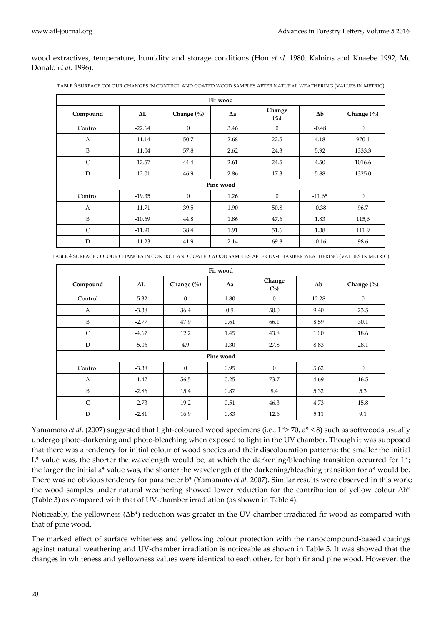wood extractives, temperature, humidity and storage conditions (Hon *et al.* 1980, Kalnins and Knaebe 1992, Mc Donald *et al.* 1996).

| Fir wood       |          |              |            |                          |            |            |
|----------------|----------|--------------|------------|--------------------------|------------|------------|
| Compound       | ΔL       | Change (%)   | $\Delta a$ | Change<br>$\binom{0}{0}$ | $\Delta b$ | Change (%) |
| Control        | $-22.64$ | 0            | 3.46       | $\boldsymbol{0}$         | $-0.48$    | $\theta$   |
| A              | $-11.14$ | 50.7         | 2.68       | 22.5                     | 4.18       | 970.1      |
| B              | $-11.04$ | 57.8         | 2.62       | 24.3                     | 5.92       | 1333.3     |
| $\mathsf{C}$   | $-12.57$ | 44.4         | 2.61       | 24.5                     | 4.50       | 1016.6     |
| D              | $-12.01$ | 46.9         | 2.86       | 17.3                     | 5.88       | 1325.0     |
| Pine wood      |          |              |            |                          |            |            |
| Control        | $-19.35$ | $\mathbf{0}$ | 1.26       | $\mathbf{0}$             | $-11.65$   | $\theta$   |
| $\overline{A}$ | $-11.71$ | 39.5         | 1.90       | 50.8                     | $-0.38$    | 96.7       |
| B              | $-10.69$ | 44.8         | 1.86       | 47,6                     | 1.83       | 115,6      |
| $\mathsf{C}$   | $-11.91$ | 38.4         | 1.91       | 51.6                     | 1.38       | 111.9      |
| D              | $-11.23$ | 41.9         | 2.14       | 69.8                     | $-0.16$    | 98.6       |

TABLE 3 SURFACE COLOUR CHANGES IN CONTROL AND COATED WOOD SAMPLES AFTER NATURAL WEATHERING (VALUES IN METRIC)

TABLE 4 SURFACE COLOUR CHANGES IN CONTROL AND COATED WOOD SAMPLES AFTER UV‐CHAMBER WEATHERING (VALUES IN METRIC)

| Fir wood     |         |              |            |                  |            |            |
|--------------|---------|--------------|------------|------------------|------------|------------|
| Compound     | ΔL      | Change (%)   | $\Delta a$ | Change<br>(%)    | $\Delta b$ | Change (%) |
| Control      | $-5.32$ | $\mathbf{0}$ | 1.80       | $\boldsymbol{0}$ | 12.28      | $\theta$   |
| $\mathbf{A}$ | $-3.38$ | 36.4         | 0.9        | 50.0             | 9.40       | 23.5       |
| B            | $-2.77$ | 47.9         | 0.61       | 66.1             | 8.59       | 30.1       |
| C            | $-4.67$ | 12.2         | 1.45       | 43.8             | 10.0       | 18.6       |
| D            | $-5.06$ | 4.9          | 1.30       | 27.8             | 8.83       | 28.1       |
| Pine wood    |         |              |            |                  |            |            |
| Control      | $-3.38$ | $\mathbf{0}$ | 0.95       | $\mathbf{0}$     | 5.62       | $\theta$   |
| $\mathbf{A}$ | $-1.47$ | 56,5         | 0.25       | 73.7             | 4.69       | 16.5       |
| B            | $-2.86$ | 15.4         | 0.87       | 8.4              | 5.32       | 5.3        |
| $\mathsf{C}$ | $-2.73$ | 19.2         | 0.51       | 46.3             | 4.73       | 15.8       |
| D            | $-2.81$ | 16.9         | 0.83       | 12.6             | 5.11       | 9.1        |

Yamamato *et al.* (2007) suggested that light-coloured wood specimens (i.e., L\*> 70, a\* < 8) such as softwoods usually undergo photo‐darkening and photo‐bleaching when exposed to light in the UV chamber. Though it was supposed that there was a tendency for initial colour of wood species and their discolouration patterns: the smaller the initial L\* value was, the shorter the wavelength would be, at which the darkening/bleaching transition occurred for L\*; the larger the initial a\* value was, the shorter the wavelength of the darkening/bleaching transition for a\* would be. There was no obvious tendency for parameter b\* (Yamamato *et al.* 2007). Similar results were observed in this work; the wood samples under natural weathering showed lower reduction for the contribution of yellow colour Δb\* (Table 3) as compared with that of UV‐chamber irradiation (as shown in Table 4).

Noticeably, the yellowness  $(\Delta b^*)$  reduction was greater in the UV-chamber irradiated fir wood as compared with that of pine wood.

The marked effect of surface whiteness and yellowing colour protection with the nanocompound-based coatings against natural weathering and UV‐chamber irradiation is noticeable as shown in Table 5. It was showed that the changes in whiteness and yellowness values were identical to each other, for both fir and pine wood. However, the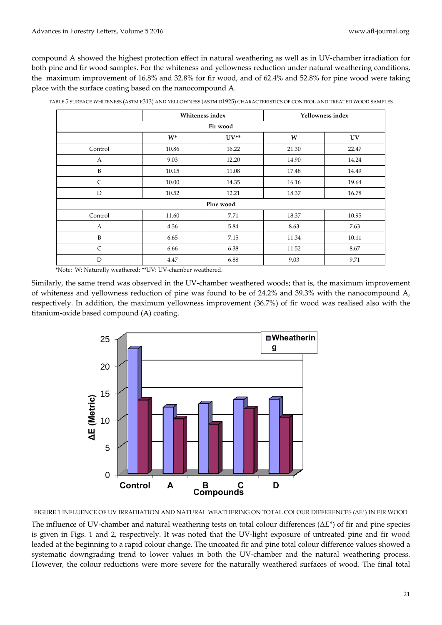compound A showed the highest protection effect in natural weathering as well as in UV‐chamber irradiation for both pine and fir wood samples. For the whiteness and yellowness reduction under natural weathering conditions, the maximum improvement of 16.8% and 32.8% for fir wood, and of 62.4% and 52.8% for pine wood were taking place with the surface coating based on the nanocompound A.

|           | Whiteness index |           | Yellowness index |       |  |  |
|-----------|-----------------|-----------|------------------|-------|--|--|
| Fir wood  |                 |           |                  |       |  |  |
|           | $W^*$           | $UV^{**}$ | W                | UV    |  |  |
| Control   | 10.86           | 16.22     | 21.30            | 22.47 |  |  |
| A         | 9.03            | 12.20     | 14.90            | 14.24 |  |  |
| B         | 10.15           | 11.08     | 17.48            | 14.49 |  |  |
| C         | 10.00           | 14.35     | 16.16            | 19.64 |  |  |
| D         | 10.52           | 12.21     | 18.37            | 16.78 |  |  |
| Pine wood |                 |           |                  |       |  |  |
| Control   | 11.60           | 7.71      | 18.37            | 10.95 |  |  |
| A         | 4.36            | 5.84      | 8.63             | 7.63  |  |  |
| B         | 6.65            | 7.15      | 11.34            | 10.11 |  |  |
| C         | 6.66            | 6.38      | 11.52            | 8.67  |  |  |
| D         | 4.47            | 6.88      | 9.03             | 9.71  |  |  |

TABLE 5 SURFACE WHITENESS (ASTM E313) AND YELLOWNESS (ASTM D1925) CHARACTERISTICS OF CONTROL AND TREATED WOOD SAMPLES

\*Note: W: Naturally weathered; \*\*UV: UV‐chamber weathered.

Similarly, the same trend was observed in the UV-chamber weathered woods; that is, the maximum improvement of whiteness and yellowness reduction of pine was found to be of 24.2% and 39.3% with the nanocompound A, respectively. In addition, the maximum yellowness improvement (36.7%) of fir wood was realised also with the titanium‐oxide based compound (A) coating.



FIGURE 1 INFLUENCE OF UV IRRADIATION AND NATURAL WEATHERING ON TOTAL COLOUR DIFFERENCES (ΔE\*) IN FIR WOOD

The influence of UV‐chamber and natural weathering tests on total colour differences (Δ*E*\*) of fir and pine species is given in Figs. 1 and 2, respectively. It was noted that the UV‐light exposure of untreated pine and fir wood leaded at the beginning to a rapid colour change. The uncoated fir and pine total colour difference values showed a systematic downgrading trend to lower values in both the UV‐chamber and the natural weathering process. However, the colour reductions were more severe for the naturally weathered surfaces of wood. The final total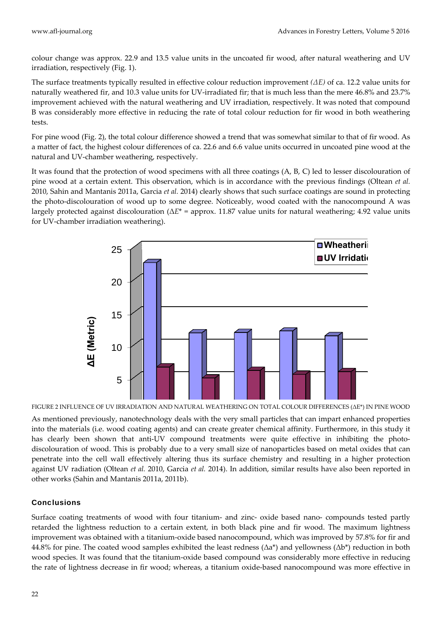colour change was approx. 22.9 and 13.5 value units in the uncoated fir wood, after natural weathering and UV irradiation, respectively (Fig. 1).

The surface treatments typically resulted in effective colour reduction improvement *(ΔE)* of ca. 12.2 value units for naturally weathered fir, and 10.3 value units for UV-irradiated fir; that is much less than the mere 46.8% and 23.7% improvement achieved with the natural weathering and UV irradiation, respectively. It was noted that compound B was considerably more effective in reducing the rate of total colour reduction for fir wood in both weathering tests.

For pine wood (Fig. 2), the total colour difference showed a trend that was somewhat similar to that of fir wood. As a matter of fact, the highest colour differences of ca. 22.6 and 6.6 value units occurred in uncoated pine wood at the natural and UV‐chamber weathering, respectively.

It was found that the protection of wood specimens with all three coatings (A, B, C) led to lesser discolouration of pine wood at a certain extent. This observation, which is in accordance with the previous findings (Oltean *et al.* 2010, Sahin and Mantanis 2011a, Garcia *et al.* 2014) clearly shows that such surface coatings are sound in protecting the photo‐discolouration of wood up to some degree. Noticeably, wood coated with the nanocompound A was largely protected against discolouration (Δ*E*\* = approx. 11.87 value units for natural weathering; 4.92 value units for UV‐chamber irradiation weathering).



FIGURE 2 INFLUENCE OF UV IRRADIATION AND NATURAL WEATHERING ON TOTAL COLOUR DIFFERENCES (ΔE\*) IN PINE WOOD

As mentioned previously, nanotechnology deals with the very small particles that can impart enhanced properties into the materials (i.e. wood coating agents) and can create greater chemical affinity. Furthermore, in this study it has clearly been shown that anti-UV compound treatments were quite effective in inhibiting the photodiscolouration of wood. This is probably due to a very small size of nanoparticles based on metal oxides that can penetrate into the cell wall effectively altering thus its surface chemistry and resulting in a higher protection against UV radiation (Oltean *et al.* 2010, Garcia *et al.* 2014). In addition, similar results have also been reported in other works (Sahin and Mantanis 2011a, 2011b).

# **Conclusions**

Surface coating treatments of wood with four titanium‐ and zinc‐ oxide based nano‐ compounds tested partly retarded the lightness reduction to a certain extent, in both black pine and fir wood. The maximum lightness improvement was obtained with a titanium‐oxide based nanocompound, which was improved by 57.8% for fir and 44.8% for pine. The coated wood samples exhibited the least redness ( $\Delta a^*$ ) and yellowness ( $\Delta b^*$ ) reduction in both wood species. It was found that the titanium‐oxide based compound was considerably more effective in reducing the rate of lightness decrease in fir wood; whereas, a titanium oxide‐based nanocompound was more effective in